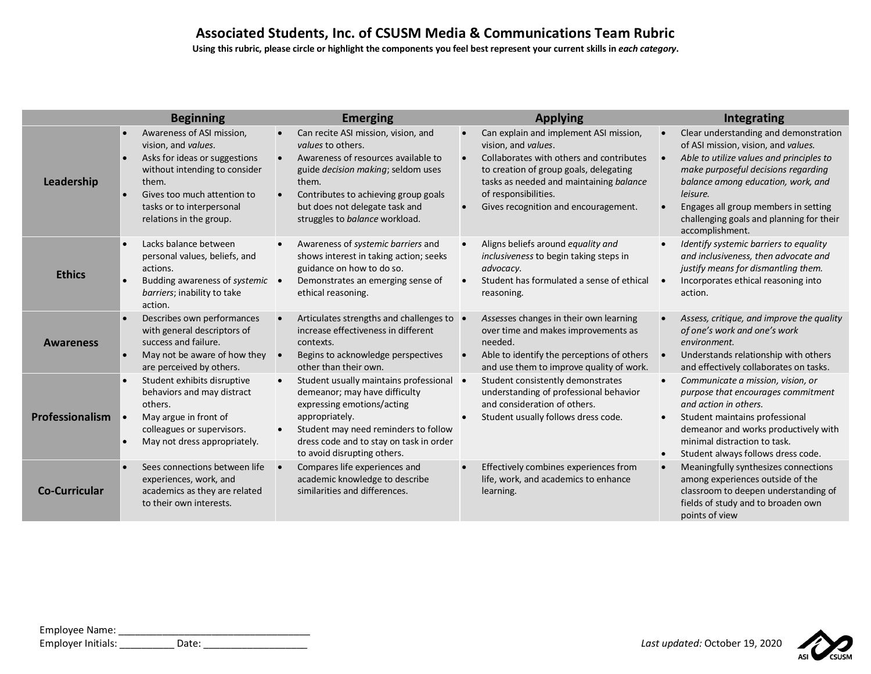Using this rubric, please circle or highlight the components you feel best represent your current skills in *each category*.

|                      | <b>Beginning</b>                                                                                                                                                                                                                             | <b>Emerging</b>                                                                                                                                                                                                                                            | <b>Applying</b>                                                                                                                                                                                                                                                | Integrating                                                                                                                                                                                                                                                                                                              |
|----------------------|----------------------------------------------------------------------------------------------------------------------------------------------------------------------------------------------------------------------------------------------|------------------------------------------------------------------------------------------------------------------------------------------------------------------------------------------------------------------------------------------------------------|----------------------------------------------------------------------------------------------------------------------------------------------------------------------------------------------------------------------------------------------------------------|--------------------------------------------------------------------------------------------------------------------------------------------------------------------------------------------------------------------------------------------------------------------------------------------------------------------------|
| Leadership           | Awareness of ASI mission,<br>$\bullet$<br>vision, and values.<br>Asks for ideas or suggestions<br>$\bullet$<br>without intending to consider<br>them.<br>Gives too much attention to<br>tasks or to interpersonal<br>relations in the group. | Can recite ASI mission, vision, and<br>values to others.<br>Awareness of resources available to<br>guide decision making; seldom uses<br>them.<br>Contributes to achieving group goals<br>but does not delegate task and<br>struggles to balance workload. | Can explain and implement ASI mission,<br>vision, and values.<br>Collaborates with others and contributes<br>to creation of group goals, delegating<br>tasks as needed and maintaining balance<br>of responsibilities.<br>Gives recognition and encouragement. | Clear understanding and demonstration<br>of ASI mission, vision, and values.<br>Able to utilize values and principles to<br>make purposeful decisions regarding<br>balance among education, work, and<br>leisure.<br>Engages all group members in setting<br>challenging goals and planning for their<br>accomplishment. |
| <b>Ethics</b>        | Lacks balance between<br>personal values, beliefs, and<br>actions.<br>Budding awareness of systemic •<br>barriers; inability to take<br>action.                                                                                              | Awareness of systemic barriers and<br>shows interest in taking action; seeks<br>guidance on how to do so.<br>Demonstrates an emerging sense of<br>ethical reasoning.                                                                                       | Aligns beliefs around equality and<br>inclusiveness to begin taking steps in<br>advocacy.<br>Student has formulated a sense of ethical<br>reasoning.                                                                                                           | Identify systemic barriers to equality<br>and inclusiveness, then advocate and<br>justify means for dismantling them.<br>Incorporates ethical reasoning into<br>action.                                                                                                                                                  |
| <b>Awareness</b>     | Describes own performances<br>with general descriptors of<br>success and failure.<br>May not be aware of how they<br>are perceived by others.                                                                                                | Articulates strengths and challenges to<br>increase effectiveness in different<br>contexts.<br>Begins to acknowledge perspectives<br>other than their own.                                                                                                 | Assesses changes in their own learning<br>over time and makes improvements as<br>needed.<br>Able to identify the perceptions of others<br>and use them to improve quality of work.                                                                             | Assess, critique, and improve the quality<br>of one's work and one's work<br>environment.<br>Understands relationship with others<br>and effectively collaborates on tasks.                                                                                                                                              |
| Professionalism      | Student exhibits disruptive<br>behaviors and may distract<br>others.<br>May argue in front of<br>colleagues or supervisors.<br>May not dress appropriately.                                                                                  | Student usually maintains professional •<br>$\bullet$<br>demeanor; may have difficulty<br>expressing emotions/acting<br>appropriately.<br>Student may need reminders to follow<br>dress code and to stay on task in order<br>to avoid disrupting others.   | Student consistently demonstrates<br>understanding of professional behavior<br>and consideration of others.<br>Student usually follows dress code.                                                                                                             | Communicate a mission, vision, or<br>purpose that encourages commitment<br>and action in others.<br>Student maintains professional<br>demeanor and works productively with<br>minimal distraction to task.<br>Student always follows dress code.                                                                         |
| <b>Co-Curricular</b> | Sees connections between life<br>experiences, work, and<br>academics as they are related<br>to their own interests.                                                                                                                          | Compares life experiences and<br>academic knowledge to describe<br>similarities and differences.                                                                                                                                                           | Effectively combines experiences from<br>life, work, and academics to enhance<br>learning.                                                                                                                                                                     | Meaningfully synthesizes connections<br>among experiences outside of the<br>classroom to deepen understanding of<br>fields of study and to broaden own<br>points of view                                                                                                                                                 |

| Employee Name:     |       |  |
|--------------------|-------|--|
| Employer Initials: | Date: |  |